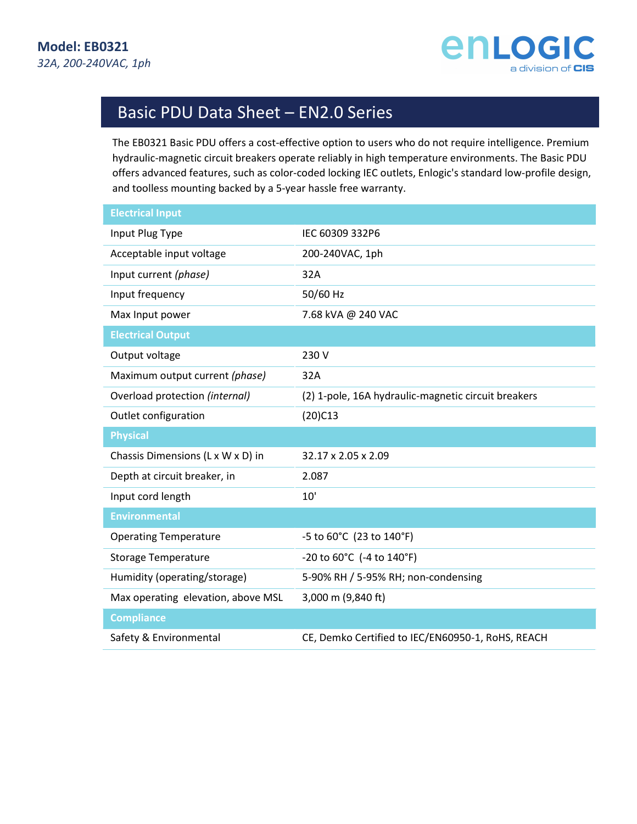

# Basic PDU Data Sheet – EN2.0 Series

The EB0321 Basic PDU offers a cost-effective option to users who do not require intelligence. Premium hydraulic-magnetic circuit breakers operate reliably in high temperature environments. The Basic PDU offers advanced features, such as color-coded locking IEC outlets, Enlogic's standard low-profile design, and toolless mounting backed by a 5-year hassle free warranty.

| <b>Electrical Input</b>            |                                                     |
|------------------------------------|-----------------------------------------------------|
| Input Plug Type                    | IEC 60309 332P6                                     |
| Acceptable input voltage           | 200-240VAC, 1ph                                     |
| Input current (phase)              | 32A                                                 |
| Input frequency                    | 50/60 Hz                                            |
| Max Input power                    | 7.68 kVA @ 240 VAC                                  |
| <b>Electrical Output</b>           |                                                     |
| Output voltage                     | 230 V                                               |
| Maximum output current (phase)     | 32A                                                 |
| Overload protection (internal)     | (2) 1-pole, 16A hydraulic-magnetic circuit breakers |
| Outlet configuration               | $(20)$ C13                                          |
| <b>Physical</b>                    |                                                     |
| Chassis Dimensions (L x W x D) in  | 32.17 x 2.05 x 2.09                                 |
| Depth at circuit breaker, in       | 2.087                                               |
| Input cord length                  | 10'                                                 |
| <b>Environmental</b>               |                                                     |
| <b>Operating Temperature</b>       | -5 to 60°C (23 to 140°F)                            |
| <b>Storage Temperature</b>         | -20 to $60^{\circ}$ C (-4 to $140^{\circ}$ F)       |
| Humidity (operating/storage)       | 5-90% RH / 5-95% RH; non-condensing                 |
| Max operating elevation, above MSL | 3,000 m (9,840 ft)                                  |
| <b>Compliance</b>                  |                                                     |
| Safety & Environmental             | CE, Demko Certified to IEC/EN60950-1, RoHS, REACH   |